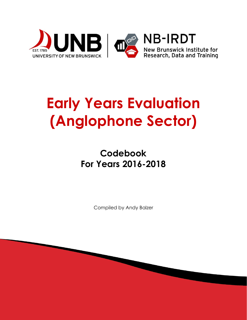

# **Early Years Evaluation (Anglophone Sector)**

## **Codebook For Years 2016-2018**

Compiled by Andy Balzer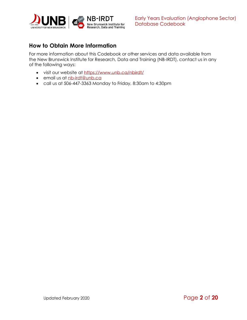

## <span id="page-1-0"></span>**How to Obtain More Information**

For more information about this Codebook or other services and data available from the New Brunswick Institute for Research, Data and Training (NB-IRDT), contact us in any of the following ways:

- visit our website at <https://www.unb.ca/nbirdt/>
- email us at [nb-irdt@unb.ca](mailto:nb-irdt@unb.ca)
- call us at 506-447-3363 Monday to Friday, 8:30am to 4:30pm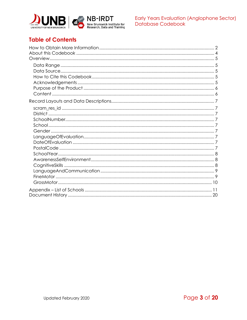



## **Table of Contents**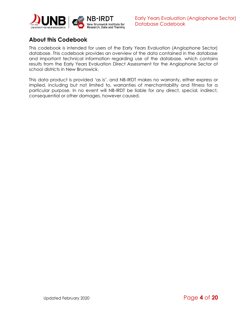

## <span id="page-3-0"></span>**About this Codebook**

This codebook is intended for users of the Early Years Evaluation (Anglophone Sector) database. This codebook provides an overview of the data contained in the database and important technical information regarding use of the database, which contains results from the Early Years Evaluation Direct Assessment for the Anglophone Sector of school districts in New Brunswick.

This data product is provided 'as is', and NB-IRDT makes no warranty, either express or implied, including but not limited to, warranties of merchantability and fitness for a particular purpose. In no event will NB-IRDT be liable for any direct, special, indirect, consequential or other damages, however caused.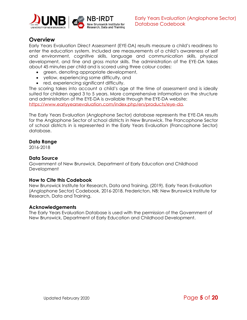

### <span id="page-4-0"></span>**Overview**

Early Years Evaluation Direct Assessment (EYE-DA) results measure a child's readiness to enter the education system. Included are measurements of a child's awareness of self and environment, cognitive skills, language and communication skills, physical development, and fine and gross motor skills. The administration of the EYE-DA takes about 45 minutes per child and is scored using three colour codes:

- green, denoting appropriate development,
- yellow, experiencing some difficulty, and
- red, experiencing significant difficulty.

The scoring takes into account a child's age at the time of assessment and is ideally suited for children aged 3 to 5 years. More comprehensive information on the structure and administration of the EYE-DA is available through the EYE-DA website: [https://www.earlyyearsevaluation.com/index.php/en/products/eye-da.](https://www.earlyyearsevaluation.com/index.php/en/products/eye-da)

The Early Years Evaluation (Anglophone Sector) database represents the EYE-DA results for the Anglophone Sector of school districts in New Brunswick. The Francophone Sector of school districts in is represented in the Early Years Evaluation (Francophone Sector) database.

#### <span id="page-4-1"></span>**Data Range**

2016-2018

#### <span id="page-4-2"></span>**Data Source**

Government of New Brunswick, Department of Early Education and Childhood **Development** 

#### <span id="page-4-3"></span>**How to Cite this Codebook**

New Brunswick Institute for Research, Data and Training. (2019). Early Years Evaluation (Anglophone Sector) Codebook, 2016-2018. Fredericton, NB: New Brunswick Institute for Research, Data and Training.

#### <span id="page-4-4"></span>**Acknowledgements**

The Early Years Evaluation Database is used with the permission of the Government of New Brunswick, Department of Early Education and Childhood Development.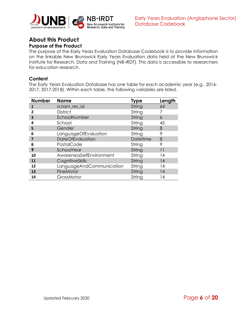

#### **About this Product Purpose of the Product**

<span id="page-5-0"></span>The purpose of the Early Years Evaluation Database Codebook is to provide information on the linkable New Brunswick Early Years Evaluation data held at the New Brunswick Institute for Research, Data and Training (NB-IRDT). This data is accessible to researchers for education research.

#### <span id="page-5-1"></span>**Content**

The Early Years Evaluation Database has one table for each academic year (e.g., 2016- 2017, 2017-2018). Within each table, the following variables are listed.

| <b>Number</b>           | <b>Name</b>              | Type            | Length |
|-------------------------|--------------------------|-----------------|--------|
| 1                       | scram_res_id             | String          | 64     |
| 2                       | <b>District</b>          | String          |        |
| $\overline{\mathbf{3}}$ | SchoolNumber             | String          | 6      |
| 4                       | School                   | String          | 45     |
| 5                       | Gender                   | String          | 8      |
| 6                       | LanguageOfEvaluation     | String          | 9      |
| 7                       | DateOfEvaluation         | <b>Datetime</b> | 8      |
| 8                       | PostalCode               | String          | 9      |
| 9                       | SchoolYear               | String          | 11     |
| 10                      | AwarenessSelfEnvironment | String          | 14     |
| 11                      | CognitiveSkills          | String          | 14     |
| 12                      | LanguageAndCommunication | String          | 14     |
| 13                      | FineMotor                | String          | 4      |
| 14                      | GrossMotor               | String          | 14     |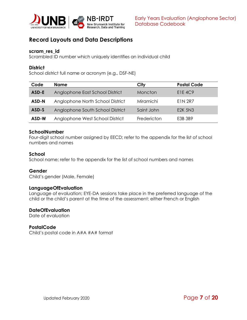

## <span id="page-6-0"></span>**Record Layouts and Data Descriptions**

#### <span id="page-6-1"></span>**scram\_res\_id**

Scrambled ID number which uniquely identifies an individual child

#### <span id="page-6-2"></span>**District**

School district full name or acronym (e.g., DSF-NE)

| Code  | <b>Name</b>                      | City             | <b>Postal Code</b> |
|-------|----------------------------------|------------------|--------------------|
| ASD-E | Anglophone East School District  | Moncton          | <b>E1E 4C9</b>     |
| ASD-N | Anglophone North School District | <b>Miramichi</b> | E1N 2R7            |
| ASD-S | Anglophone South School District | Saint John       | <b>E2K 5N3</b>     |
| ASD-W | Anglophone West School District  | Fredericton      | E3B 3B9            |

#### <span id="page-6-3"></span>**SchoolNumber**

Four-digit school number assigned by EECD; refer to the appendix for the list of school numbers and names

#### <span id="page-6-4"></span>**School**

School name; refer to the appendix for the list of school numbers and names

#### <span id="page-6-5"></span>**Gender**

Child's gender (Male, Female)

#### <span id="page-6-6"></span>**LanguageOfEvaluation**

Language of evaluation; EYE-DA sessions take place in the preferred language of the child or the child's parent at the time of the assessment: either French or English

#### <span id="page-6-7"></span>**DateOfEvaluation**

Date of evaluation

#### <span id="page-6-8"></span>**PostalCode**

Child's postal code in A#A #A# format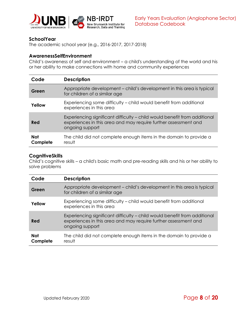

#### <span id="page-7-0"></span>**SchoolYear**

The academic school year (e.g., 2016-2017, 2017-2018)

#### <span id="page-7-1"></span>**AwarenessSelfEnvironment**

Child's awareness of self and environment – a child's understanding of the world and his or her ability to make connections with home and community experiences

| Code                   | <b>Description</b>                                                                                                                                              |
|------------------------|-----------------------------------------------------------------------------------------------------------------------------------------------------------------|
| Green                  | Appropriate development - child's development in this area is typical<br>for children of a similar age                                                          |
| Yellow                 | Experiencing some difficulty – child would benefit from additional<br>experiences in this area                                                                  |
| Red                    | Experiencing significant difficulty – child would benefit from additional<br>experiences in this area and may require further assessment and<br>ongoing support |
| <b>Not</b><br>Complete | The child did not complete enough items in the domain to provide a<br>result                                                                                    |

#### <span id="page-7-2"></span>**CognitiveSkills**

Child's cognitive skills – a child's basic math and pre-reading skills and his or her ability to solve problems

| Code                   | <b>Description</b>                                                                                                                                              |
|------------------------|-----------------------------------------------------------------------------------------------------------------------------------------------------------------|
| Green                  | Appropriate development - child's development in this area is typical<br>for children of a similar age                                                          |
| Yellow                 | Experiencing some difficulty - child would benefit from additional<br>experiences in this area                                                                  |
| Red                    | Experiencing significant difficulty - child would benefit from additional<br>experiences in this area and may require further assessment and<br>ongoing support |
| <b>Not</b><br>Complete | The child did not complete enough items in the domain to provide a<br>result                                                                                    |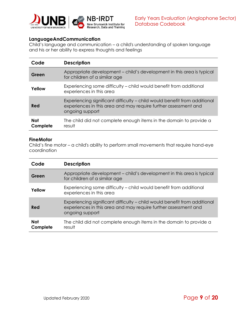

#### <span id="page-8-0"></span>**LanguageAndCommunication**

Child's language and communication – a child's understanding of spoken language and his or her ability to express thoughts and feelings

| Code                   | <b>Description</b>                                                                                                                                              |
|------------------------|-----------------------------------------------------------------------------------------------------------------------------------------------------------------|
| Green                  | Appropriate development - child's development in this area is typical<br>for children of a similar age                                                          |
| Yellow                 | Experiencing some difficulty – child would benefit from additional<br>experiences in this area                                                                  |
| Red                    | Experiencing significant difficulty – child would benefit from additional<br>experiences in this area and may require further assessment and<br>ongoing support |
| <b>Not</b><br>Complete | The child did not complete enough items in the domain to provide a<br>result                                                                                    |

#### <span id="page-8-1"></span>**FineMotor**

Child's fine motor – a child's ability to perform small movements that require hand-eye coordination

| Code                   | <b>Description</b>                                                                                                                                              |
|------------------------|-----------------------------------------------------------------------------------------------------------------------------------------------------------------|
| Green                  | Appropriate development – child's development in this area is typical<br>for children of a similar age                                                          |
| Yellow                 | Experiencing some difficulty – child would benefit from additional<br>experiences in this area                                                                  |
| Red                    | Experiencing significant difficulty - child would benefit from additional<br>experiences in this area and may require further assessment and<br>ongoing support |
| <b>Not</b><br>Complete | The child did not complete enough items in the domain to provide a<br>result                                                                                    |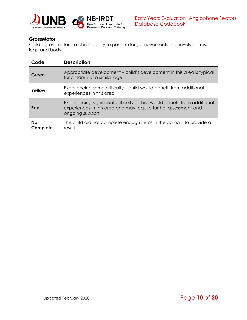

#### <span id="page-9-0"></span>**GrossMotor**

Child's gross motor – a child's ability to perform large movements that involve arms, legs, and body

| Code                   | <b>Description</b>                                                                                                                                              |
|------------------------|-----------------------------------------------------------------------------------------------------------------------------------------------------------------|
| Green                  | Appropriate development - child's development in this area is typical<br>for children of a similar age                                                          |
| Yellow                 | Experiencing some difficulty - child would benefit from additional<br>experiences in this area                                                                  |
| Red                    | Experiencing significant difficulty - child would benefit from additional<br>experiences in this area and may require further assessment and<br>ongoing support |
| <b>Not</b><br>Complete | The child did not complete enough items in the domain to provide a<br>result                                                                                    |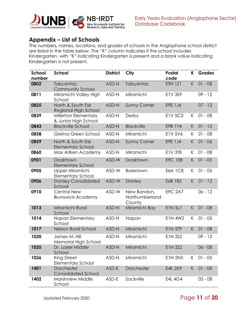

## <span id="page-10-0"></span>**Appendix – List of Schools**

The numbers, names, locations, and grades of schools in the Anglophone school district are listed in the table below. The "K" column indicates if the school includes Kindergarten, with "K" indicating Kindergarten is present and a blank value indicating Kindergarten is not present.

| School | School                                         | <b>District</b> | City                                    | <b>Postal</b>  | K  | <b>Grades</b> |
|--------|------------------------------------------------|-----------------|-----------------------------------------|----------------|----|---------------|
| number |                                                |                 |                                         | code           |    |               |
| 0802   | Tabusintac<br><b>Community School</b>          | ASD-N           | Tabusintac                              | E9H 1Z1        | K  | $01 - 08$     |
| 0811   | Miramichi Valley High<br>School                | ASD-N           | Miramichi                               | E1V 3S9        |    | $09 - 12$     |
| 0825   | North & South Esk<br>Regional High School      | ASD-N           | <b>Sunny Corner</b>                     | E9E 1J4        |    | $07 - 12$     |
| 0839   | Millerton Elementary<br>& Junior High School   | ASD-N           | Derby                                   | <b>EIV 5C3</b> | K  | $01 - 08$     |
| 0843   | <b>Blackville School</b>                       | ASD-N           | <b>Blackville</b>                       | E9B 1Y4        | K. | $01 - 12$     |
| 0858   | Gretna Green School                            | ASD-N           | Miramichi                               | E1V 5V6        | K. | $01 - 08$     |
| 0859   | North & South Esk<br><b>Elementary School</b>  | ASD-N           | <b>Sunny Corner</b>                     | E9E 1J4        | K. | $01 - 06$     |
| 0860   | Max Aitken Academy                             | ASD-N           | Miramichi                               | <b>E1V 3T8</b> | K  | $01 - 08$     |
| 0901   | Doaktown<br><b>Elementary School</b>           | ASD-W           | Doaktown                                | <b>E9C 1E8</b> | K. | $01 - 05$     |
| 0905   | Upper Miramichi<br><b>Elementary School</b>    | ASD-W           | <b>Boiestown</b>                        | <b>E6A 1C8</b> | K  | $01 - 05$     |
| 0906   | <b>Stanley Consolidated</b><br>School          | ASD-W           | Stanley                                 | E6B 1B2        | K  | $01 - 12$     |
| 0910   | <b>Central New</b><br><b>Brunswick Academy</b> | ASD-W           | New Bandon,<br>Northumberland<br>County | <b>E9C 2A7</b> |    | $06 - 12$     |
| 1013   | Miramichi Rural<br>School                      | ASD-N           | Miramichi Bay                           | E1N 5L7        | K  | $01 - 08$     |
| 1014   | Napan Elementary<br>School                     | ASD-N           | Napan                                   | <b>E1N 4W2</b> | K  | $01 - 05$     |
| 1017   | <b>Nelson Rural School</b>                     | ASD-N           | Miramichi                               | <b>E1N 5T9</b> | K  | $01 - 08$     |
| 1020   | James M. Hill<br>Memorial High School          | ASD-N           | Miramichi                               | <b>E1N 2S2</b> |    | $09 - 12$     |
| 1025   | Dr. Losier Middle<br>School                    | ASD-N           | Miramichi                               | <b>E1N 2S2</b> |    | $06 - 08$     |
| 1026   | King Street<br><b>Elementary School</b>        | ASD-N           | Miramichi                               | <b>E1N 2N5</b> | K. | $01 - 05$     |
| 1401   | Dorchester<br><b>Consolidated School</b>       | ASD-E           | Dorchester                              | <b>E4K 2X9</b> | K. | $01 - 08$     |
| 1402   | Marshview Middle<br>School                     | ASD-E           | Sackville                               | <b>E4L 4G4</b> |    | $05 - 08$     |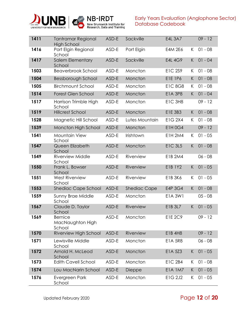



| 1411 | <b>Tantramar Regional</b><br><b>High School</b> | ASD-E | Sackville           | E4L 3A7        |    | $09 - 12$ |
|------|-------------------------------------------------|-------|---------------------|----------------|----|-----------|
| 1416 | Port Elgin Regional<br>School                   | ASD-E | Port Elgin          | E4M 2E6        | K  | $01 - 08$ |
| 1417 | <b>Salem Elementary</b><br>School               | ASD-E | Sackville           | E4L 4G9        | K. | $01 - 04$ |
| 1503 | <b>Beaverbrook School</b>                       | ASD-E | Moncton             | <b>E1C 2S9</b> | K  | $01 - 08$ |
| 1504 | Bessborough School                              | ASD-E | Moncton             | E1E 1P6        | K  | $01 - 08$ |
| 1505 | <b>Birchmount School</b>                        | ASD-E | Moncton             | <b>E1C 8G8</b> | K. | $01 - 08$ |
| 1514 | Forest Glen School                              | ASD-E | Moncton             | <b>E1A 3P8</b> | K. | $01 - 04$ |
| 1517 | Harrison Trimble High<br>School                 | ASD-E | Moncton             | E1C 3H8        |    | $09 - 12$ |
| 1519 | <b>Hillcrest School</b>                         | ASD-E | Moncton             | E1E 3B3        | K  | $01 - 08$ |
| 1528 | Magnetic Hill School                            | ASD-E | Lutes Mountain      | E1G 2X4        | K  | $01 - 08$ |
| 1539 | Moncton High School                             | ASD-E | Moncton             | <b>E1H0G4</b>  |    | $09 - 12$ |
| 1541 | Mountain View<br>School                         | ASD-E | Irishtown           | <b>E1H 2M4</b> | K. | $01 - 05$ |
| 1547 | Queen Elizabeth<br>School                       | ASD-E | Moncton             | <b>E1C 3L5</b> | K. | $01 - 08$ |
| 1549 | <b>Riverview Middle</b><br>School               | ASD-E | Riverview           | E1B 2M4        |    | $06 - 08$ |
| 1550 | Frank L. Bowser<br>School                       | ASD-E | Riverview           | E1B 1Y2        | K. | $01 - 05$ |
| 1551 | West Riverview<br>School                        | ASD-E | Riverview           | E1B 3K6        | K  | $01 - 05$ |
| 1553 | Shediac Cape School                             | ASD-E | <b>Shediac Cape</b> | E4P 3G4        | K. | $01 - 08$ |
| 1559 | Sunny Brae Middle<br>School                     | ASD-E | Moncton             | E1A 3W1        |    | $05 - 08$ |
| 1567 | Claude D. Taylor<br>School                      | ASD-E | Riverview           | E1B 3L7        | K  | $01 - 05$ |
| 1569 | <b>Bernice</b><br>MacNaughton High<br>School    | ASD-E | Moncton             | E1E 2C9        |    | $09 - 12$ |
| 1570 | Riverview High School                           | ASD-E | Riverview           | E1B 4H8        |    | $09 - 12$ |
| 1571 | Lewisville Middle<br>School                     | ASD-E | Moncton             | <b>E1A 5R8</b> |    | $06 - 08$ |
| 1572 | Arnold H. McLeod<br>School                      | ASD-E | Moncton             | E1A 5Z3        | K. | $01 - 05$ |
| 1573 | <b>Edith Cavell School</b>                      | ASD-E | Moncton             | <b>E1C 2B4</b> | K. | $01 - 08$ |
| 1574 | Lou MacNarin School                             | ASD-E | Dieppe              | <b>E1A 1M7</b> | K  | $01 - 05$ |
| 1576 | Evergreen Park<br>School                        | ASD-E | Moncton             | E1G 2J2        | K. | $01 - 05$ |

Updated February 2020 **Page 12 of 20**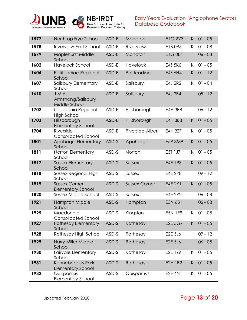



| 1577 | Northrop Frye School                             | ASD-E | Moncton              | <b>E1G 2V3</b> | K. | $01 - 05$ |
|------|--------------------------------------------------|-------|----------------------|----------------|----|-----------|
| 1578 | Riverview East School                            | ASD-E | Riverview            | E1B OP5        | K. | $01 - 08$ |
| 1579 | <b>Maplehurst Middle</b><br>School               | ASD-E | Moncton              | <b>E1G0E4</b>  |    | $06 - 08$ |
| 1602 | <b>Havelock School</b>                           | ASD-E | Havelock             | E4Z 5K6        | K. | $01 - 05$ |
| 1604 | Petitcodiac Regional<br>School                   | ASD-E | Petitcodiac          | E4Z 6H4        | K. | $01 - 12$ |
| 1607 | Salisbury Elementary<br>School                   | ASD-E | Salisbury            | E4J 2R2        | Κ  | $01 - 04$ |
| 1610 | J.M.A.<br>Armstrong/Salisbury<br>Middle School   | ASD-E | Salisbury            | E4J 2B4        |    | $05 - 12$ |
| 1702 | Caledonia Regional<br><b>High School</b>         | ASD-E | Hillsborough         | <b>E4H 3B8</b> |    | $06 - 12$ |
| 1703 | Hillsborough<br><b>Elementary School</b>         | ASD-E | Hillsborough         | <b>E4H 3B8</b> | K  | $01 - 05$ |
| 1704 | Riverside<br><b>Consolidated School</b>          | ASD-E | Riverside-Albert     | E4H 3Z7        | K  | $01 - 05$ |
| 1801 | Apohaqui Elementary<br>School                    | ASD-S | Apohaqui             | <b>E5P 3M9</b> | K  | $01 - 05$ |
| 1811 | Norton Elementary<br>School                      | ASD-S | Norton               | E5T 1J7        | K  | $01 - 05$ |
| 1817 | <b>Sussex Elementary</b><br>School               | ASD-S | Sussex               | <b>E4E 1P8</b> | K  | $01 - 05$ |
| 1818 | Sussex Regional High<br>School                   | ASD-S | Sussex               | E4E 2P8        |    | $09 - 12$ |
| 1819 | <b>Sussex Corner</b><br><b>Elementary School</b> | ASD-S | <b>Sussex Corner</b> | E4E 2Y1        | K  | $01 - 05$ |
| 1820 | <b>Sussex Middle School</b>                      | ASD-S | Sussex               | E4E 2P2        |    | $06 - 08$ |
| 1921 | <b>Hampton Middle</b><br>School                  | ASD-S | Hampton              | <b>E5N 6B1</b> |    | $06 - 08$ |
| 1925 | Macdonald<br><b>Consolidated School</b>          | ASD-S | Kingston             | <b>E5N 1E9</b> | K  | $01 - 08$ |
| 1927 | <b>Rothesay Elementary</b><br>School             | ASD-S | Rothesay             | E2E 5G7        | K  | $01 - 05$ |
| 1928 | Rothesay High School                             | ASD-S | Rothesay             | E2E 5L6        |    | $09 - 12$ |
| 1929 | <b>Harry Miller Middle</b><br>School             | ASD-S | Rothesay             | E2E 5L6        |    | $06 - 08$ |
| 1930 | <b>Fairvale Elementary</b><br>School             | ASD-S | Rothesay             | E2E 1Z9        | K. | $01 - 05$ |
| 1931 | Kennebecasis Park<br><b>Elementary School</b>    | ASD-S | Rothesay             | E2H 1B2        | K  | $01 - 05$ |
| 1932 | Quispamsis<br><b>Elementary School</b>           | ASD-S | Quispamsis           | <b>E2E 4N1</b> | K  | $01 - 05$ |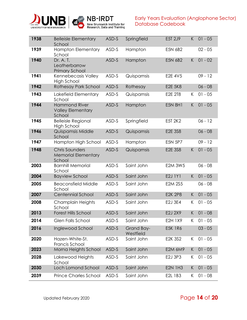



| 1938 | <b>Belleisle Elementary</b><br>School                         | ASD-S | Springfield             | E5T 2J9        | K  | $01 - 05$ |
|------|---------------------------------------------------------------|-------|-------------------------|----------------|----|-----------|
| 1939 | <b>Hampton Elementary</b><br>School                           | ASD-S | Hampton                 | E5N 6B2        |    | $02 - 05$ |
| 1940 | Dr. A. T.<br>Leatherbarrow<br><b>Primary School</b>           | ASD-S | Hampton                 | E5N 6B2        | K  | $01 - 02$ |
| 1941 | Kennebecasis Valley<br><b>High School</b>                     | ASD-S | Quispamsis              | E2E 4V5        |    | $09 - 12$ |
| 1942 | <b>Rothesay Park School</b>                                   | ASD-S | Rothesay                | <b>E2E 5K8</b> |    | $06 - 08$ |
| 1943 | Lakefield Elementary<br>School                                | ASD-S | Quispamsis              | E2E 2T8        | K  | $01 - 05$ |
| 1944 | <b>Hammond River</b><br><b>Valley Elementary</b><br>School    | ASD-S | Hampton                 | <b>E5N 8H1</b> | K  | $01 - 05$ |
| 1945 | <b>Belleisle Regional</b><br>High School                      | ASD-S | Springfield             | E5T 2K2        |    | $06 - 12$ |
| 1946 | Quispamsis Middle<br>School                                   | ASD-S | Quispamsis              | <b>E2E 3S8</b> |    | $06 - 08$ |
| 1947 | Hampton High School                                           | ASD-S | Hampton                 | <b>E5N 5P7</b> |    | $09 - 12$ |
| 1948 | <b>Chris Saunders</b><br><b>Memorial Elementary</b><br>School | ASD-S | Quispamsis              | E2E 3S8        | K  | $01 - 05$ |
| 2003 | <b>Barnhill Memorial</b><br>School                            | ASD-S | Saint John              | <b>E2M 3W5</b> |    | $06 - 08$ |
| 2004 | <b>Bayview School</b>                                         | ASD-S | Saint John              | E2J 1Y1        | K  | $01 - 05$ |
| 2005 | <b>Beaconsfield Middle</b><br>School                          | ASD-S | Saint John              | <b>E2M 2S5</b> |    | $06 - 08$ |
| 2007 | <b>Centennial School</b>                                      | ASD-S | Saint John              | <b>E2K 2P8</b> | K  | $01 - 05$ |
| 2008 | Champlain Heights<br>School                                   | ASD-S | Saint John              | E2J 3E4        | Κ  | $01 - 05$ |
| 2013 | <b>Forest Hills School</b>                                    | ASD-S | Saint John              | E2J 2X9        | K  | $01 - 08$ |
| 2014 | <b>Glen Falls School</b>                                      | ASD-S | Saint John              | E2H 1X9        | K. | $01 - 05$ |
| 2016 | Inglewood School                                              | ASD-S | Grand Bay-<br>Westfield | <b>E5K 1R6</b> |    | $03 - 05$ |
| 2020 | Hazen-White-St.<br>Francis School                             | ASD-S | Saint John              | E2K 3S2        | К  | $01 - 05$ |
| 2023 | Morna Heights School                                          | ASD-S | Saint John              | E2M 6M9        | K  | $01 - 05$ |
| 2028 | Lakewood Heights<br>School                                    | ASD-S | Saint John              | E2J 3P3        | K. | $01 - 05$ |
| 2030 | Loch Lomond School                                            | ASD-S | Saint John              | <b>E2N 1H3</b> | K  | $01 - 05$ |
| 2039 | <b>Prince Charles School</b>                                  | ASD-S | Saint John              | E2L 1B3        | K  | $01 - 08$ |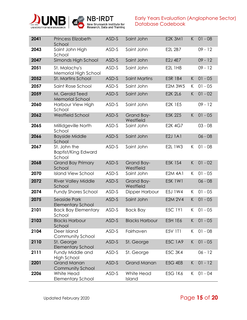



| 2041 | <b>Princess Elizabeth</b><br>School                  | ASD-S | Saint John              | <b>E2K 3M1</b> | K  | $01 - 08$ |
|------|------------------------------------------------------|-------|-------------------------|----------------|----|-----------|
| 2043 | Saint John High<br>School                            | ASD-S | Saint John              | E2L 2B7        |    | $09 - 12$ |
| 2047 | Simonds High School                                  | ASD-S | Saint John              | E2J 4E7        |    | $09 - 12$ |
| 2051 | St. Malachy's<br>Memorial High School                | ASD-S | Saint John              | E2L 1H8        |    | $09 - 12$ |
| 2052 | St. Martins School                                   | ASD-S | <b>Saint Martins</b>    | <b>E5R 1B4</b> | K  | $01 - 05$ |
| 2057 | Saint Rose School                                    | ASD-S | Saint John              | <b>E2M 3W5</b> | K. | $01 - 05$ |
| 2059 | M. Gerald Teed<br><b>Memorial School</b>             | ASD-S | Saint John              | <b>E2K 2L6</b> | K  | $01 - 02$ |
| 2060 | Harbour View High<br>School                          | ASD-S | Saint John              | <b>E2K 1E5</b> |    | $09 - 12$ |
| 2062 | <b>Westfield School</b>                              | ASD-S | Grand Bay-<br>Westfield | E5K 2Z5        | K  | $01 - 05$ |
| 2065 | Millidgeville North<br>School                        | ASD-S | Saint John              | <b>E2K 4G7</b> |    | $03 - 08$ |
| 2066 | <b>Bayside Middle</b><br>School                      | ASD-S | Saint John              | <b>E2J 1A1</b> |    | $06 - 08$ |
| 2067 | St. John the<br><b>Baptist/King Edward</b><br>School | ASD-S | Saint John              | E2L 1W3        | K  | $01 - 08$ |
| 2068 | <b>Grand Bay Primary</b><br>School                   | ASD-S | Grand Bay-<br>Westfield | <b>E5K 1S4</b> | K  | $01 - 02$ |
| 2070 | <b>Island View School</b>                            | ASD-S | Saint John              | <b>E2M 4A1</b> | K  | $01 - 05$ |
| 2072 | <b>River Valley Middle</b><br>School                 | ASD-S | Grand Bay-<br>Westfield | E5K 1W1        |    | $06 - 08$ |
| 2074 | <b>Fundy Shores School</b>                           | ASD-S | Dipper Harbour          | E5J 1W4        | K  | $01 - 05$ |
| 2075 | Seaside Park<br><b>Elementary School</b>             | ASD-S | Saint John              | <b>E2M 2V4</b> | K  | $01 - 05$ |
| 2101 | <b>Back Bay Elementary</b><br>School                 | ASD-S | <b>Back Bay</b>         | <b>E5C 1Y1</b> | K  | $01 - 05$ |
| 2103 | <b>Blacks Harbour</b><br>School                      | ASD-S | <b>Blacks Harbour</b>   | E5H 1E6        | K. | $01 - 05$ |
| 2104 | Deer Island<br>Community School                      | ASD-S | Fairhaven               | E5V 1T1        | K  | $01 - 08$ |
| 2110 | St. George<br><b>Elementary School</b>               | ASD-S | St. George              | <b>E5C 1A9</b> | K. | $01 - 05$ |
| 2111 | Fundy Middle and<br><b>High School</b>               | ASD-S | St. George              | <b>E5C 3K4</b> |    | $06 - 12$ |
| 2201 | <b>Grand Manan</b><br>Community School               | ASD-S | <b>Grand Manan</b>      | <b>E5G 4E8</b> | K  | $01 - 12$ |
| 2206 | White Head<br><b>Elementary School</b>               | ASD-S | White Head<br>Island    | E5G 1K6        | K  | $01 - 04$ |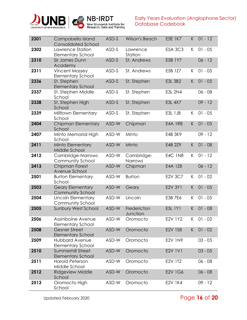



| 2301 | Campobello Island<br><b>Consolidated School</b>      | ASD-S | Wilson's Beach          | <b>E5E 1K7</b> | K  | $01 - 12$ |
|------|------------------------------------------------------|-------|-------------------------|----------------|----|-----------|
| 2302 | Lawrence Station<br><b>Elementary School</b>         | ASD-S | Lawrence<br>Station     | <b>E5A 3C3</b> | K  | $01 - 05$ |
| 2310 | Sir James Dunn<br>Academy                            | ASD-S | St. Andrews             | E5B 1Y7        |    | $06 - 12$ |
| 2311 | <b>Vincent Massey</b><br><b>Elementary School</b>    | ASD-S | St. Andrews             | E5B 1Z7        | K  | $01 - 05$ |
| 2336 | St. Stephen<br><b>Elementary School</b>              | ASD-S | St. Stephen             | <b>E3L 3B2</b> | K  | $01 - 05$ |
| 2337 | St. Stephen Middle<br>School                         | ASD-S | St. Stephen             | <b>E3L 2N4</b> |    | $06 - 08$ |
| 2338 | St. Stephen High<br>School                           | ASD-S | St. Stephen             | E3L 4X7        |    | $09 - 12$ |
| 2339 | Milltown Elementary<br>School                        | ASD-S | St. Stephen             | E3L 1J8        | K  | $01 - 05$ |
| 2404 | <b>Chipman Elementary</b><br>School                  | ASD-W | Chipman                 | <b>E4A 1R8</b> | K  | $01 - 05$ |
| 2407 | Minto Memorial High<br>School                        | ASD-W | Minto                   | E4B 3K9        |    | $09 - 12$ |
| 2411 | Minto Elementary<br>Middle School                    | ASD-W | Minto                   | E4B 2Z9        | K  | $01 - 08$ |
| 2412 | Cambridge-Narrows<br>Community School                | ASD-W | Cambridge-<br>Narrows   | <b>E4C 1N8</b> | K  | $01 - 12$ |
| 2413 | Chipman Forest<br>Avenue School                      | ASD-W | Chipman                 | E4A 1Z8        |    | $06 - 12$ |
| 2501 | <b>Burton Elementary</b><br>School                   | ASD-W | <b>Burton</b>           | E2V 3C7        | K. | $01 - 02$ |
| 2503 | <b>Geary Elementary</b><br><b>Community School</b>   | ASD-W | Geary                   | E2V 3Y1        | K  | $01 - 05$ |
| 2504 | Lincoln Elementary<br>Community School               | ASD-W | Lincoln                 | E3B 7E6        | K  | $01 - 05$ |
| 2505 | Sunbury West School                                  | ASD-W | Fredericton<br>Junction | E5L 1Y1        | K  | $01 - 08$ |
| 2506 | Assiniboine Avenue<br><b>Elementary School</b>       | ASD-W | Oromocto                | <b>E2V 1Y2</b> | K. | $01 - 02$ |
| 2508 | <b>Gesner Street</b><br><b>Elementary School</b>     | ASD-W | Oromocto                | <b>E2V 1S8</b> | K  | $01 - 02$ |
| 2509 | <b>Hubbard Avenue</b><br><b>Elementary School</b>    | ASD-W | Oromocto                | <b>E2V 1N9</b> |    | $03 - 05$ |
| 2510 | <b>Summerhill Street</b><br><b>Elementary School</b> | ASD-W | Oromocto                | <b>E2V 1V1</b> |    | $03 - 05$ |
| 2511 | <b>Harold Peterson</b><br>Middle School              | ASD-W | Oromocto                | E2V 1T2        |    | $06 - 08$ |
| 2512 | <b>Ridgeview Middle</b><br>School                    | ASD-W | Oromocto                | E2V 1G6        |    | $06 - 08$ |
| 2513 | Oromocto High<br>School                              | ASD-W | Oromocto                | <b>E2V 1K4</b> |    | $09 - 12$ |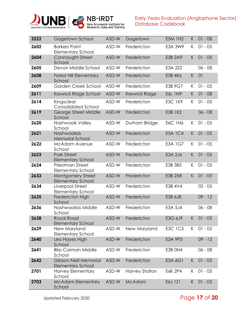



| 2522 | Gagetown School                                   | ASD-W | Gagetown              | <b>E5M 1H2</b> | K | $01 - 08$ |
|------|---------------------------------------------------|-------|-----------------------|----------------|---|-----------|
| 2602 | <b>Barkers Point</b><br><b>Elementary School</b>  | ASD-W | Fredericton           | E3A 3W9        | К | $01 - 05$ |
| 2604 | Connaught Street<br>School                        | ASD-W | Fredericton           | E3B 2A9        | K | $01 - 05$ |
| 2605 | Devon Middle School                               | ASD-W | Fredericton           | E3A 2Z2        |   | $06 - 08$ |
| 2608 | <b>Forest Hill Elementary</b><br>School           | ASD-W | Fredericton           | E3B 4K6        | K | 01        |
| 2609 | Garden Creek School                               | ASD-W | Fredericton           | E3B 9G7        | K | $01 - 05$ |
| 2611 | Keswick Ridge School                              | ASD-W | <b>Keswick Ridge</b>  | E6L 1N9        | K | $01 - 08$ |
| 2614 | Kingsclear<br><b>Consolidated School</b>          | ASD-W | Fredericton           | <b>E3C 1K9</b> | К | $01 - 05$ |
| 2619 | George Street Middle<br>School                    | ASD-W | Fredericton           | <b>E3B 1K2</b> |   | $06 - 08$ |
| 2620 | Nashwaak Valley<br>School                         | ASD-W | Durham Bridge         | <b>E6C 1N6</b> | K | $01 - 05$ |
| 2621 | Nashwaaksis<br><b>Memorial School</b>             | ASD-W | Fredericton           | <b>E3A 1C4</b> | K | $01 - 05$ |
| 2622 | McAdam Avenue<br>School                           | ASD-W | Fredericton           | <b>E3A 1G7</b> | К | $01 - 05$ |
| 2623 | <b>Park Street</b><br><b>Elementary School</b>    | ASD-W | Fredericton           | E3A 2J6        | K | $01 - 05$ |
| 2624 | Priestman Street<br><b>Elementary School</b>      | ASD-W | Fredericton           | E3B 3B5        | K | $01 - 05$ |
| 2633 | Montgomery Street<br><b>Elementary School</b>     | ASD-W | Fredericton           | E3B 2X8        | K | $01 - 05$ |
| 2634 | Liverpool Street<br><b>Elementary School</b>      | ASD-W | Fredericton           | E3B 4V4        |   | $02 - 05$ |
| 2635 | Fredericton High<br>School                        | ASD-W | Fredericton           | E3B 6J8        |   | $09 - 12$ |
| 2636 | Nashwaaksis Middle<br>School                      | ASD-W | Fredericton           | E3A 5J4        |   | $06 - 08$ |
| 2638 | Royal Road<br><b>Elementary School</b>            | ASD-W | Fredericton           | E3G 6J9        | K | $01 - 05$ |
| 2639 | New Maryland<br><b>Elementary School</b>          | ASD-W | New Maryland          | <b>E3C 1C5</b> | K | $01 - 05$ |
| 2640 | Leo Hayes High<br>School                          | ASD-W | Fredericton           | <b>E3A 9P5</b> |   | $09 - 12$ |
| 2641 | <b>Bliss Carman Middle</b><br>School              | ASD-W | Fredericton           | E3B ON4        |   | $06 - 08$ |
| 2642 | Gibson-Neill Memorial<br><b>Elementary School</b> | ASD-W | Fredericton           | E3A 6G1        | K | $01 - 05$ |
| 2701 | <b>Harvey Elementary</b><br>School                | ASD-W | <b>Harvey Station</b> | <b>E6K 2P4</b> | K | $01 - 05$ |
| 2703 | <b>McAdam Elementary</b><br>School                | ASD-W | McAdam                | E6J 1Z1        | K | $01 - 05$ |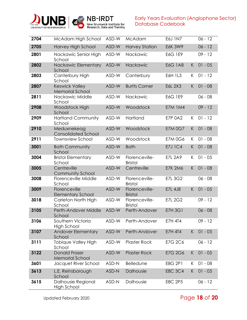



| 2704 | McAdam High School                              | ASD-W | McAdam                           | E6J 1N7        |    | $06 - 12$ |
|------|-------------------------------------------------|-------|----------------------------------|----------------|----|-----------|
| 2705 | Harvey High School                              | ASD-W | <b>Harvey Station</b>            | <b>E6K 3W9</b> |    | $06 - 12$ |
| 2801 | Nackawic Senior High<br>School                  | ASD-W | Nackawic                         | E6G 1E9        |    | $09 - 12$ |
| 2802 | Nackawic Elementary<br>School                   | ASD-W | Nackawic                         | <b>E6G 1A8</b> | K  | $01 - 05$ |
| 2803 | Canterbury High<br>School                       | ASD-W | Canterbury                       | E6H 1L3        | K  | $01 - 12$ |
| 2807 | <b>Keswick Valley</b><br><b>Memorial School</b> | ASD-W | <b>Burtts Corner</b>             | E6L 2X3        | K  | $01 - 08$ |
| 2811 | Nackawic Middle<br>School                       | ASD-W | Nackawic                         | E6G 1E9        |    | $06 - 08$ |
| 2908 | Woodstock High<br>School                        | ASD-W | Woodstock                        | <b>E7M 1M4</b> |    | $09 - 12$ |
| 2909 | <b>Hartland Community</b><br>School             | ASD-W | Hartland                         | <b>E7P 0A2</b> | K  | $01 - 12$ |
| 2910 | Meduxnekeag<br><b>Consolidated School</b>       | ASD-W | Woodstock                        | <b>E7M 0G7</b> | K  | $01 - 08$ |
| 2911 | <b>Townsview School</b>                         | ASD-W | Woodstock                        | <b>E7M 0G6</b> | K  | $01 - 08$ |
| 3001 | <b>Bath Community</b><br>School                 | ASD-W | <b>Bath</b>                      | <b>E7J 1C4</b> | K  | $01 - 08$ |
| 3004 | <b>Bristol Elementary</b><br>School             | ASD-W | Florenceville-<br><b>Bristol</b> | <b>E7L 2A9</b> | K. | $01 - 05$ |
| 3005 | Centreville<br>Community School                 | ASD-W | Centreville                      | <b>E7K 2M6</b> | K  | $01 - 08$ |
| 3008 | Florenceville Middle<br>School                  | ASD-W | Florenceville-<br><b>Bristol</b> | <b>E7L 3G2</b> |    | $06 - 08$ |
| 3009 | Florenceville<br><b>Elementary School</b>       | ASD-W | Florenceville-<br><b>Bristol</b> | <b>E7L 4J8</b> | K  | $01 - 05$ |
| 3018 | Carleton North High<br>School                   | ASD-W | Florenceville-<br><b>Bristol</b> | <b>E7L 2G2</b> |    | $09 - 12$ |
| 3105 | Perth-Andover Middle<br>School                  | ASD-W | Perth-Andover                    | <b>E7H 3G1</b> |    | $06 - 08$ |
| 3106 | Southern Victoria<br><b>High School</b>         | ASD-W | Perth-Andover                    | <b>E7H 4T4</b> |    | $09 - 12$ |
| 3107 | <b>Andover Elementary</b><br>School             | ASD-W | Perth-Andover                    | <b>E7H 4T4</b> | K. | $01 - 05$ |
| 3111 | Tobique Valley High<br>School                   | ASD-W | <b>Plaster Rock</b>              | E7G 2C6        |    | $06 - 12$ |
| 3122 | <b>Donald Fraser</b><br><b>Memorial School</b>  | ASD-W | <b>Plaster Rock</b>              | E7G 2G6        | K  | $01 - 05$ |
| 3601 | Jacquet River School                            | ASD-N | Belledune                        | E8G 2P1        | K  | $01 - 08$ |
| 3613 | L.E. Reinsborough<br>School                     | ASD-N | Dalhousie                        | <b>E8C 3C4</b> | K  | $01 - 05$ |
| 3615 | Dalhousie Regional<br><b>High School</b>        | ASD-N | Dalhousie                        | <b>E8C 2P5</b> |    | $06 - 12$ |

## Updated February 2020 Page **18** of **20**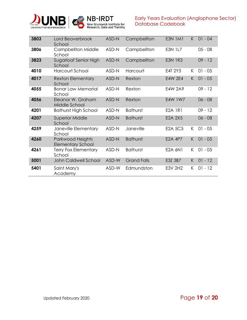



| 3803 | Lord Beaverbrook<br>School                   | ASD-N | Campbellton        | <b>E3N 1M1</b> | K  | $01 - 04$ |
|------|----------------------------------------------|-------|--------------------|----------------|----|-----------|
| 3806 | <b>Campbellton Middle</b><br>School          | ASD-N | Campbellton        | <b>E3N 1L7</b> |    | $05 - 08$ |
| 3823 | Sugarloaf Senior High<br>School              | ASD-N | Campbellton        | <b>E3N 1R3</b> |    | $09 - 12$ |
| 4010 | Harcourt School                              | ASD-N | Harcourt           | E4T 2Y3        | K. | $01 - 05$ |
| 4017 | <b>Rexton Elementary</b><br>School           | ASD-N | Rexton             | E4W 2E4        | K. | $01 - 05$ |
| 4055 | <b>Bonar Law Memorial</b><br>School          | ASD-N | Rexton             | <b>E4W 2A9</b> |    | $09 - 12$ |
| 4056 | Eleanor W. Graham<br>Middle School           | ASD-N | Rexton             | E4W 1W7        |    | $06 - 08$ |
| 4201 | <b>Bathurst High School</b>                  | ASD-N | <b>Bathurst</b>    | <b>E2A 1R1</b> |    | $09 - 12$ |
| 4207 | <b>Superior Middle</b><br>School             | ASD-N | <b>Bathurst</b>    | E2A 2X5        |    | $06 - 08$ |
| 4259 | Janeville Elementary<br>School               | ASD-N | Janeville          | <b>E2A 5C5</b> | K. | $01 - 05$ |
| 4260 | Parkwood Heights<br><b>Elementary School</b> | ASD-N | <b>Bathurst</b>    | <b>E2A 4P7</b> | K. | $01 - 05$ |
| 4261 | <b>Terry Fox Elementary</b><br>School        | ASD-N | <b>Bathurst</b>    | <b>E2A 6N1</b> | K. | $01 - 05$ |
| 5001 | John Caldwell School                         | ASD-W | <b>Grand Falls</b> | E3Z 3B7        | K  | $01 - 12$ |
| 5401 | Saint Mary's<br>Academy                      | ASD-W | Edmundston         | E3V 2H2        | K. | $01 - 12$ |